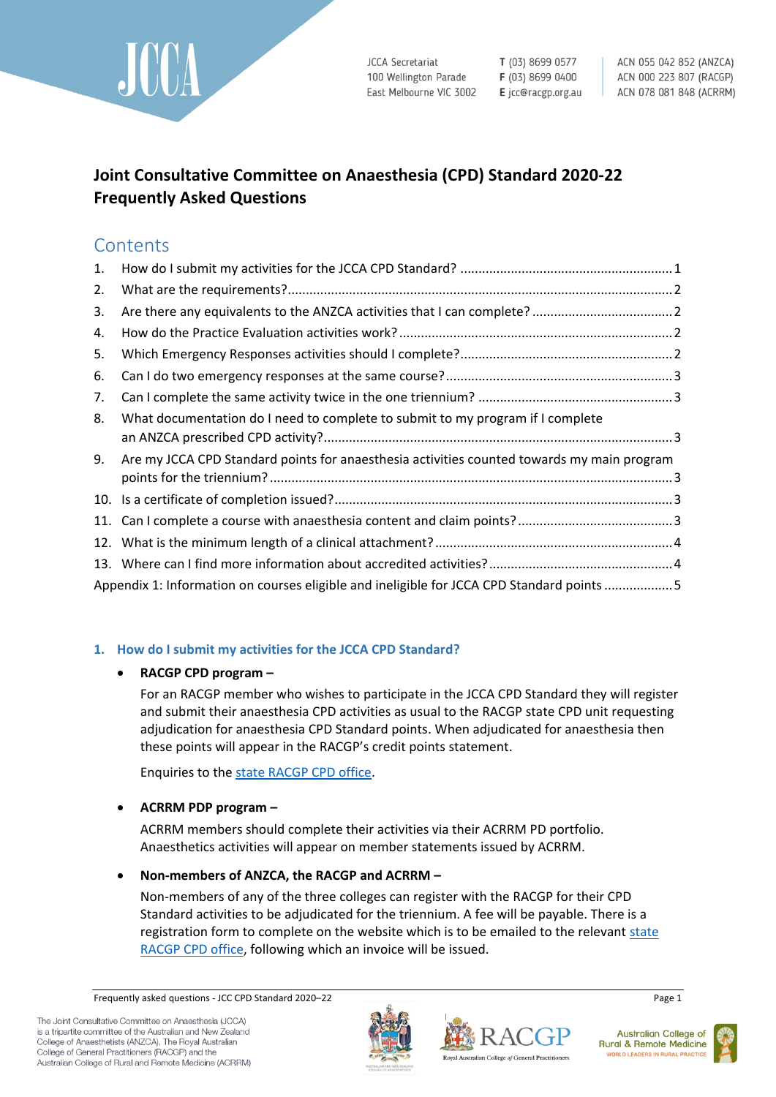

**JCCA Secretariat** 100 Wellington Parade East Melbourne VIC 3002 T (03) 8699 0577 F (03) 8699 0400 E jcc@racgp.org.au

ACN 055 042 852 (ANZCA) ACN 000 223 807 (RACGP) ACN 078 081 848 (ACRRM)

# **Joint Consultative Committee on Anaesthesia (CPD) Standard 2020-22 Frequently Asked Questions**

# **Contents**

| 1.  |                                                                                            |  |
|-----|--------------------------------------------------------------------------------------------|--|
| 2.  |                                                                                            |  |
| 3.  |                                                                                            |  |
| 4.  |                                                                                            |  |
| 5.  |                                                                                            |  |
| 6.  |                                                                                            |  |
| 7.  |                                                                                            |  |
| 8.  | What documentation do I need to complete to submit to my program if I complete             |  |
| 9.  | Are my JCCA CPD Standard points for anaesthesia activities counted towards my main program |  |
| 10. |                                                                                            |  |
|     |                                                                                            |  |
|     |                                                                                            |  |
|     |                                                                                            |  |
|     | Appendix 1: Information on courses eligible and ineligible for JCCA CPD Standard points 5  |  |

## <span id="page-0-0"></span>**1. How do I submit my activities for the JCCA CPD Standard?**

## **RACGP CPD program –**

For an RACGP member who wishes to participate in the JCCA CPD Standard they will register and submit their anaesthesia CPD activities as usual to the RACGP state CPD unit requesting adjudication for anaesthesia CPD Standard points. When adjudicated for anaesthesia then these points will appear in the RACGP's credit points statement.

Enquiries to the [state RACGP CPD office.](https://www.racgp.org.au/education/professional-development/qi-cpd/state-contact-details)

## **ACRRM PDP program –**

ACRRM members should complete their activities via their ACRRM PD portfolio. Anaesthetics activities will appear on member statements issued by ACRRM.

## **Non-members of ANZCA, the RACGP and ACRRM –**

Non-members of any of the three colleges can register with the RACGP for their CPD Standard activities to be adjudicated for the triennium. A fee will be payable. There is a registration form to complete on the website which is to be emailed to the relevant state [RACGP CPD office,](https://www.racgp.org.au/education/professional-development/qi-cpd/state-contact-details) following which an invoice will be issued.

Frequently asked questions - JCC CPD Standard 2020–22 Page 1







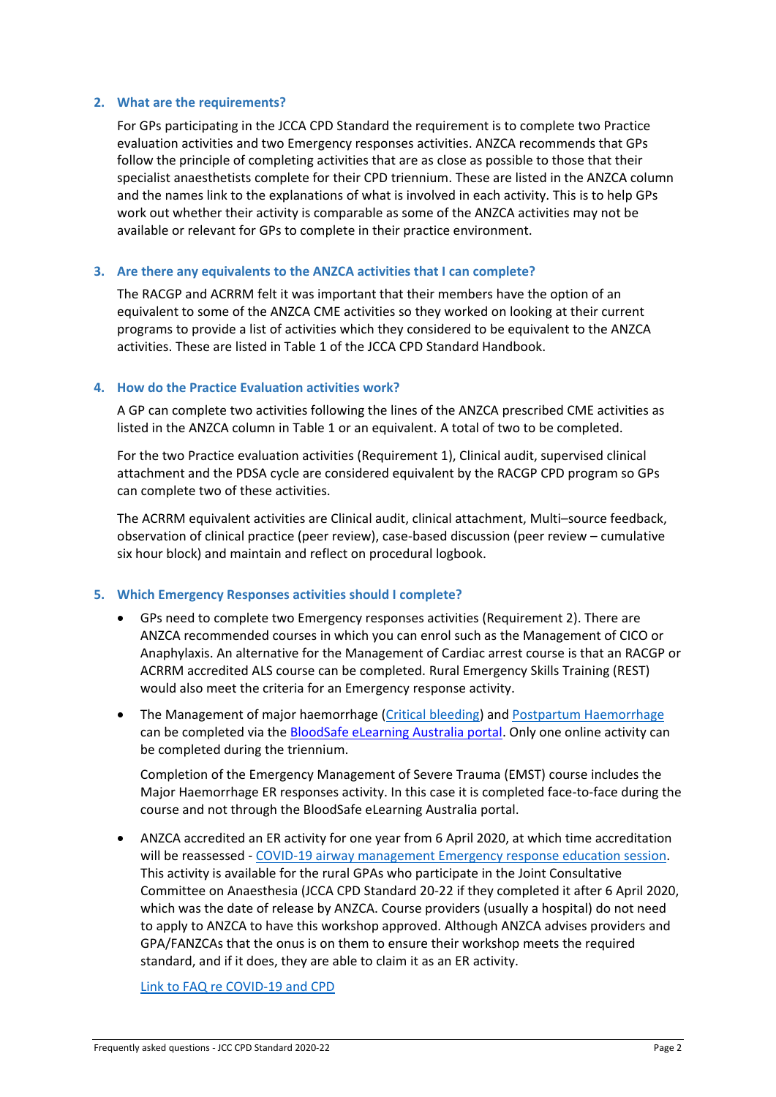#### <span id="page-1-0"></span>**2. What are the requirements?**

For GPs participating in the JCCA CPD Standard the requirement is to complete two Practice evaluation activities and two Emergency responses activities. ANZCA recommends that GPs follow the principle of completing activities that are as close as possible to those that their specialist anaesthetists complete for their CPD triennium. These are listed in the ANZCA column and the names link to the explanations of what is involved in each activity. This is to help GPs work out whether their activity is comparable as some of the ANZCA activities may not be available or relevant for GPs to complete in their practice environment.

#### <span id="page-1-1"></span>**3. Are there any equivalents to the ANZCA activities that I can complete?**

The RACGP and ACRRM felt it was important that their members have the option of an equivalent to some of the ANZCA CME activities so they worked on looking at their current programs to provide a list of activities which they considered to be equivalent to the ANZCA activities. These are listed in Table 1 of the JCCA CPD Standard Handbook.

#### <span id="page-1-2"></span>**4. How do the Practice Evaluation activities work?**

A GP can complete two activities following the lines of the ANZCA prescribed CME activities as listed in the ANZCA column in Table 1 or an equivalent. A total of two to be completed.

For the two Practice evaluation activities (Requirement 1), Clinical audit, supervised clinical attachment and the PDSA cycle are considered equivalent by the RACGP CPD program so GPs can complete two of these activities.

The ACRRM equivalent activities are Clinical audit, clinical attachment, Multi–source feedback, observation of clinical practice (peer review), case-based discussion (peer review – cumulative six hour block) and maintain and reflect on procedural logbook.

#### <span id="page-1-3"></span>**5. Which Emergency Responses activities should I complete?**

- GPs need to complete two Emergency responses activities (Requirement 2). There are ANZCA recommended courses in which you can enrol such as the Management of CICO or Anaphylaxis. An alternative for the Management of Cardiac arrest course is that an RACGP or ACRRM accredited ALS course can be completed. Rural Emergency Skills Training (REST) would also meet the criteria for an Emergency response activity.
- The Management of major haemorrhage [\(Critical bleeding\)](https://learn.bloodsafelearning.org.au/course/details/critical-bleeding) and [Postpartum Haemorrhage](https://learn.bloodsafelearning.org.au/course/details/obstetric-pph) can be completed via th[e BloodSafe eLearning Australia portal.](https://bloodsafelearning.org.au/course/critical-bleeding/) Only one online activity can be completed during the triennium.

Completion of the Emergency Management of Severe Trauma (EMST) course includes the Major Haemorrhage ER responses activity. In this case it is completed face-to-face during the course and not through the BloodSafe eLearning Australia portal.

 ANZCA accredited an ER activity for one year from 6 April 2020, at which time accreditation will be reassessed - [COVID-19 airway management Emergency response education session.](https://www.anzca.edu.au/education-training/anzca-and-fpm-cpd-program/requirements-of-the-anzca-and-fpm-cpd-program) This activity is available for the rural GPAs who participate in the Joint Consultative Committee on Anaesthesia (JCCA CPD Standard 20-22 if they completed it after 6 April 2020, which was the date of release by ANZCA. Course providers (usually a hospital) do not need to apply to ANZCA to have this workshop approved. Although ANZCA advises providers and GPA/FANZCAs that the onus is on them to ensure their workshop meets the required standard, and if it does, they are able to claim it as an ER activity.

[Link to FAQ re COVID-19 and CPD](https://www.anzca.edu.au/education-training/anzca-and-fpm-cpd-program/covid-19-cpd-info)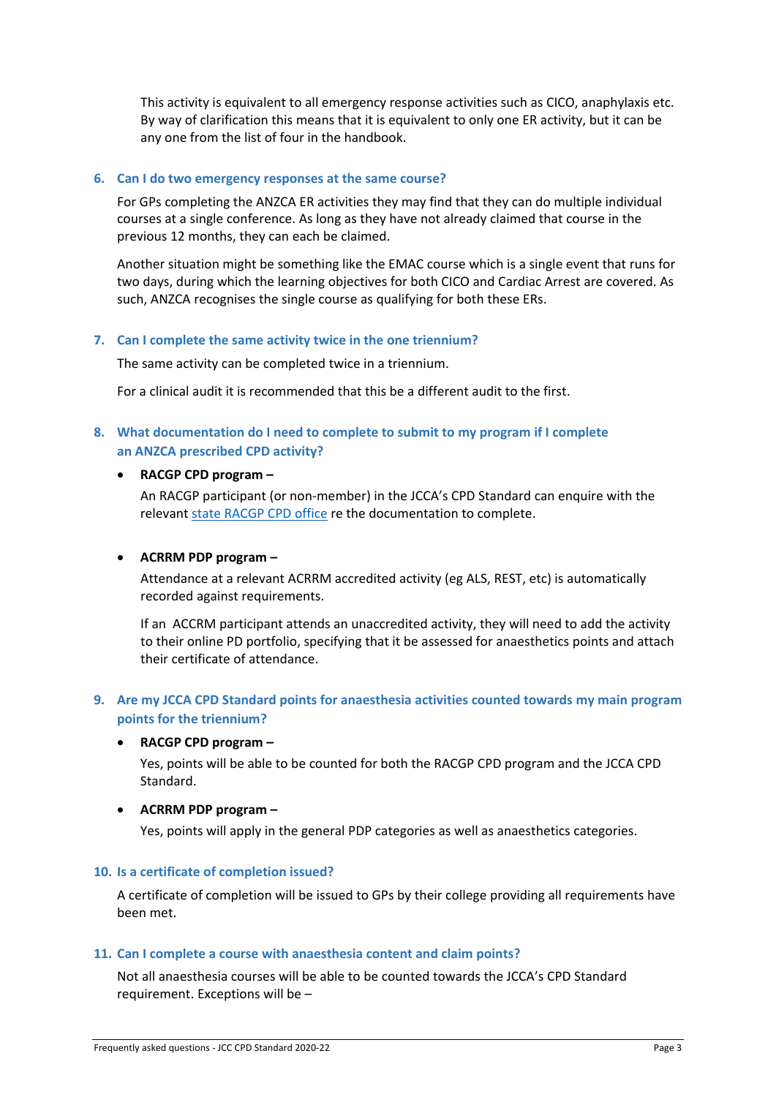This activity is equivalent to all emergency response activities such as CICO, anaphylaxis etc. By way of clarification this means that it is equivalent to only one ER activity, but it can be any one from the list of four in the handbook.

#### <span id="page-2-0"></span>**6. Can I do two emergency responses at the same course?**

For GPs completing the ANZCA ER activities they may find that they can do multiple individual courses at a single conference. As long as they have not already claimed that course in the previous 12 months, they can each be claimed.

Another situation might be something like the EMAC course which is a single event that runs for two days, during which the learning objectives for both CICO and Cardiac Arrest are covered. As such, ANZCA recognises the single course as qualifying for both these ERs.

#### <span id="page-2-1"></span>**7. Can I complete the same activity twice in the one triennium?**

The same activity can be completed twice in a triennium.

For a clinical audit it is recommended that this be a different audit to the first.

### <span id="page-2-2"></span>**8. What documentation do I need to complete to submit to my program if I complete an ANZCA prescribed CPD activity?**

#### **RACGP CPD program –**

An RACGP participant (or non-member) in the JCCA's CPD Standard can enquire with the relevant [state RACGP CPD office](https://www.racgp.org.au/education/professional-development/qi-cpd/state-contact-details) re the documentation to complete.

#### **ACRRM PDP program –**

Attendance at a relevant ACRRM accredited activity (eg ALS, REST, etc) is automatically recorded against requirements.

If an ACCRM participant attends an unaccredited activity, they will need to add the activity to their online PD portfolio, specifying that it be assessed for anaesthetics points and attach their certificate of attendance.

## <span id="page-2-3"></span>**9. Are my JCCA CPD Standard points for anaesthesia activities counted towards my main program points for the triennium?**

#### **RACGP CPD program –**

Yes, points will be able to be counted for both the RACGP CPD program and the JCCA CPD Standard.

#### **ACRRM PDP program –**

Yes, points will apply in the general PDP categories as well as anaesthetics categories.

#### <span id="page-2-4"></span>**10. Is a certificate of completion issued?**

A certificate of completion will be issued to GPs by their college providing all requirements have been met.

#### <span id="page-2-5"></span>**11. Can I complete a course with anaesthesia content and claim points?**

Not all anaesthesia courses will be able to be counted towards the JCCA's CPD Standard requirement. Exceptions will be –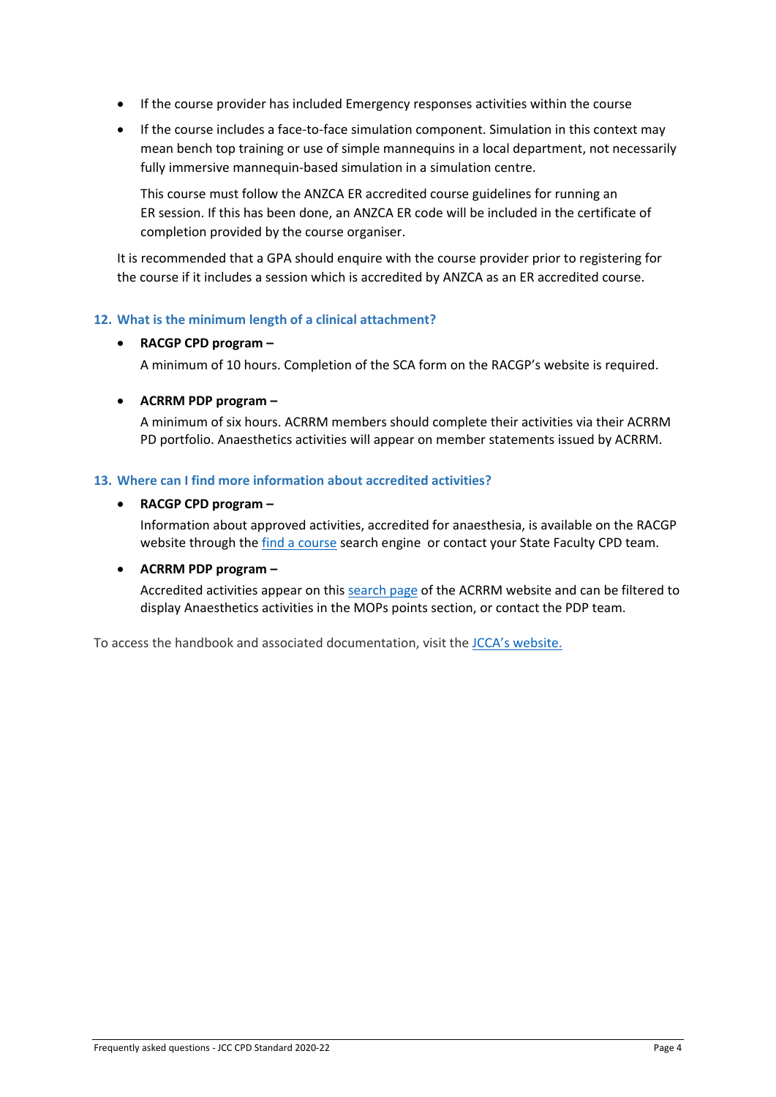- If the course provider has included Emergency responses activities within the course
- If the course includes a face-to-face simulation component. Simulation in this context may mean bench top training or use of simple mannequins in a local department, not necessarily fully immersive mannequin-based simulation in a simulation centre.

This course must follow the ANZCA ER accredited course guidelines for running an ER session. If this has been done, an ANZCA ER code will be included in the certificate of completion provided by the course organiser.

It is recommended that a GPA should enquire with the course provider prior to registering for the course if it includes a session which is accredited by ANZCA as an ER accredited course.

### <span id="page-3-0"></span>**12. What is the minimum length of a clinical attachment?**

#### **RACGP CPD program –**

A minimum of 10 hours. Completion of the SCA form on the RACGP's website is required.

#### **ACRRM PDP program –**

A minimum of six hours. ACRRM members should complete their activities via their ACRRM PD portfolio. Anaesthetics activities will appear on member statements issued by ACRRM.

#### <span id="page-3-1"></span>**13. Where can I find more information about accredited activities?**

#### **RACGP CPD program –**

Information about approved activities, accredited for anaesthesia, is available on the RACGP website through the [find a course](https://www.racgp.org.au/education/courses/activitylist/) search engine or contact your State Faculty CPD team.

#### **ACRRM PDP program –**

Accredited activities appear on this [search page](http://www.acrrm.org.au/search?query=&collection=acrrm-meta-public&clive=acrrm-event-public) of the ACRRM website and can be filtered to display Anaesthetics activities in the MOPs points section, or contact the PDP team.

To access the handbook and associated documentation, visit the [JCCA's website](http://www.racgp.org.au/yourracgp/organisation/committees/joint-consultative-committees/jcca/).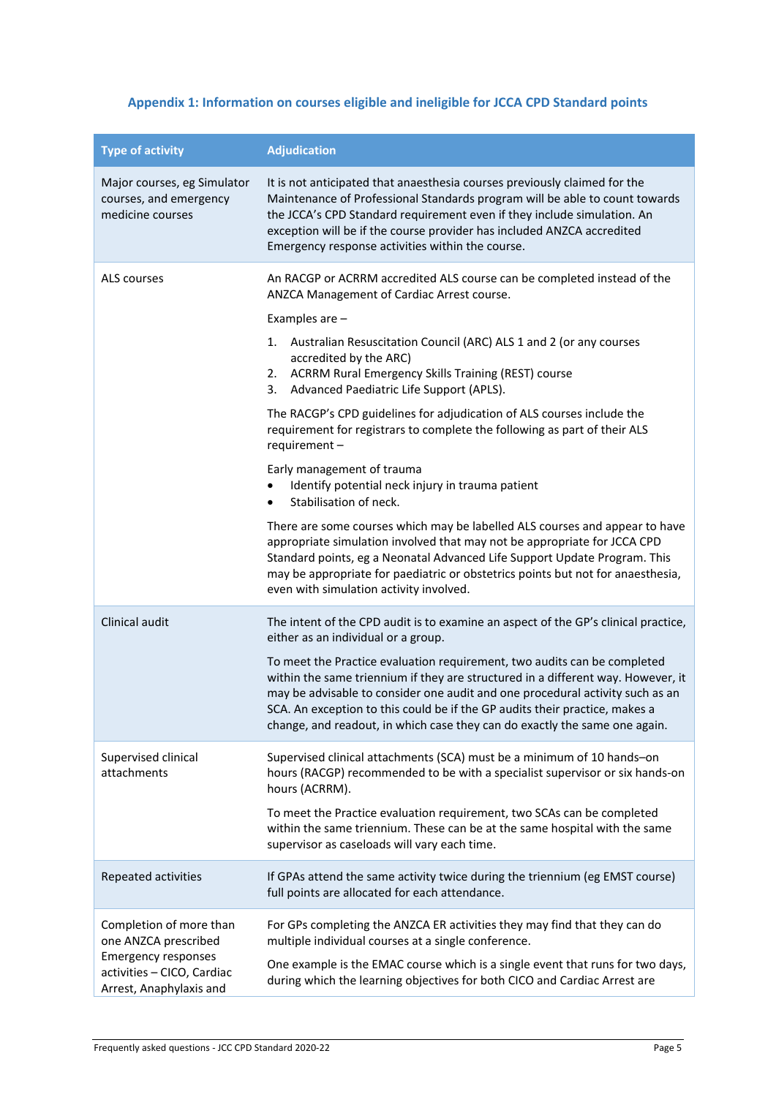# <span id="page-4-0"></span>**Appendix 1: Information on courses eligible and ineligible for JCCA CPD Standard points**

| <b>Type of activity</b>                                                                                                                | <b>Adjudication</b>                                                                                                                                                                                                                                                                                                                                                                                        |
|----------------------------------------------------------------------------------------------------------------------------------------|------------------------------------------------------------------------------------------------------------------------------------------------------------------------------------------------------------------------------------------------------------------------------------------------------------------------------------------------------------------------------------------------------------|
| Major courses, eg Simulator<br>courses, and emergency<br>medicine courses                                                              | It is not anticipated that anaesthesia courses previously claimed for the<br>Maintenance of Professional Standards program will be able to count towards<br>the JCCA's CPD Standard requirement even if they include simulation. An<br>exception will be if the course provider has included ANZCA accredited<br>Emergency response activities within the course.                                          |
| ALS courses                                                                                                                            | An RACGP or ACRRM accredited ALS course can be completed instead of the<br>ANZCA Management of Cardiac Arrest course.                                                                                                                                                                                                                                                                                      |
|                                                                                                                                        | Examples are -                                                                                                                                                                                                                                                                                                                                                                                             |
|                                                                                                                                        | Australian Resuscitation Council (ARC) ALS 1 and 2 (or any courses<br>1.<br>accredited by the ARC)<br>2. ACRRM Rural Emergency Skills Training (REST) course<br>3. Advanced Paediatric Life Support (APLS).                                                                                                                                                                                                |
|                                                                                                                                        | The RACGP's CPD guidelines for adjudication of ALS courses include the<br>requirement for registrars to complete the following as part of their ALS<br>requirement-                                                                                                                                                                                                                                        |
|                                                                                                                                        | Early management of trauma<br>Identify potential neck injury in trauma patient<br>Stabilisation of neck.<br>$\bullet$                                                                                                                                                                                                                                                                                      |
|                                                                                                                                        | There are some courses which may be labelled ALS courses and appear to have<br>appropriate simulation involved that may not be appropriate for JCCA CPD<br>Standard points, eg a Neonatal Advanced Life Support Update Program. This<br>may be appropriate for paediatric or obstetrics points but not for anaesthesia,<br>even with simulation activity involved.                                         |
| Clinical audit                                                                                                                         | The intent of the CPD audit is to examine an aspect of the GP's clinical practice,<br>either as an individual or a group.                                                                                                                                                                                                                                                                                  |
|                                                                                                                                        | To meet the Practice evaluation requirement, two audits can be completed<br>within the same triennium if they are structured in a different way. However, it<br>may be advisable to consider one audit and one procedural activity such as an<br>SCA. An exception to this could be if the GP audits their practice, makes a<br>change, and readout, in which case they can do exactly the same one again. |
| Supervised clinical<br>attachments                                                                                                     | Supervised clinical attachments (SCA) must be a minimum of 10 hands-on<br>hours (RACGP) recommended to be with a specialist supervisor or six hands-on<br>hours (ACRRM).                                                                                                                                                                                                                                   |
|                                                                                                                                        | To meet the Practice evaluation requirement, two SCAs can be completed<br>within the same triennium. These can be at the same hospital with the same<br>supervisor as caseloads will vary each time.                                                                                                                                                                                                       |
| Repeated activities                                                                                                                    | If GPAs attend the same activity twice during the triennium (eg EMST course)<br>full points are allocated for each attendance.                                                                                                                                                                                                                                                                             |
| Completion of more than<br>one ANZCA prescribed<br><b>Emergency responses</b><br>activities - CICO, Cardiac<br>Arrest, Anaphylaxis and | For GPs completing the ANZCA ER activities they may find that they can do<br>multiple individual courses at a single conference.<br>One example is the EMAC course which is a single event that runs for two days,<br>during which the learning objectives for both CICO and Cardiac Arrest are                                                                                                            |